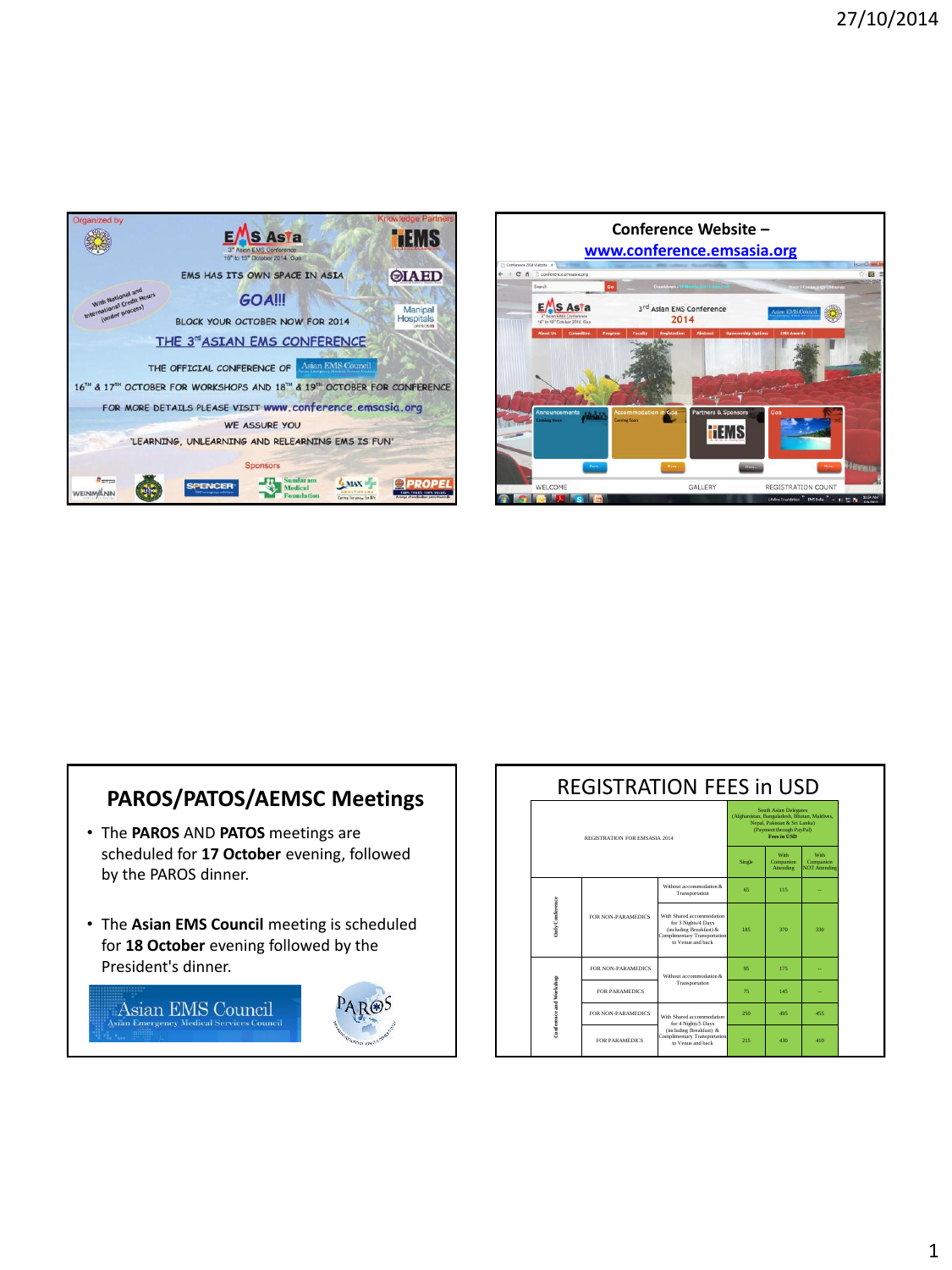



## **PAROS/PATOS/AEMSC Meetings**

- The **PAROS** AND **PATOS** meetings are scheduled for **17 October** evening, followed by the PAROS dinner.
- The **Asian EMS Council** meeting is scheduled for **18 October** evening followed by the President's dinner.





| <b>REGISTRATION FEES in USD</b> |                           |                                                                                                                                  |                                                                                                                                                         |                                |                                                  |
|---------------------------------|---------------------------|----------------------------------------------------------------------------------------------------------------------------------|---------------------------------------------------------------------------------------------------------------------------------------------------------|--------------------------------|--------------------------------------------------|
| REGISTRATION FOR EMSASIA 2014   |                           |                                                                                                                                  | <b>South Asian Delegates</b><br>(Afghanistan, Bangaladesh, Bhutan, Maldives,<br>Nepal, Pakistan & Sri Lanka)<br>(Payment through PayPal)<br>Fees in USD |                                |                                                  |
|                                 |                           |                                                                                                                                  | Single                                                                                                                                                  | With<br>Companion<br>Attending | <b>With</b><br>Companion<br><b>NOT Attending</b> |
| July Conference                 | <b>FOR NON-PARAMEDICS</b> | Without accommodation &<br>Transportation                                                                                        | 65                                                                                                                                                      | 115                            |                                                  |
|                                 |                           | With Shared accommodation<br>for 3 Nights/4 Days<br>(including Breakfast) &<br>Complimentary Transportation<br>to Venue and back | 185                                                                                                                                                     | 370                            | $330 -$                                          |
| Conference and Workshop         | <b>FOR NON-PARAMEDICS</b> | Without accommodation &<br>Transportation                                                                                        | 95                                                                                                                                                      | 175                            |                                                  |
|                                 | <b>FOR PARAMEDICS</b>     |                                                                                                                                  | 75                                                                                                                                                      | 145                            |                                                  |
|                                 | <b>FOR NON-PARAMEDICS</b> | With Shared accommodation<br>for 4 Nights/5 Days<br>(including Breakfast) &<br>Complimentary Transportation<br>to Venue and back | 250                                                                                                                                                     | 495                            | 455                                              |
|                                 | FOR PARAMEDICS            |                                                                                                                                  | 215                                                                                                                                                     | 430                            | 410                                              |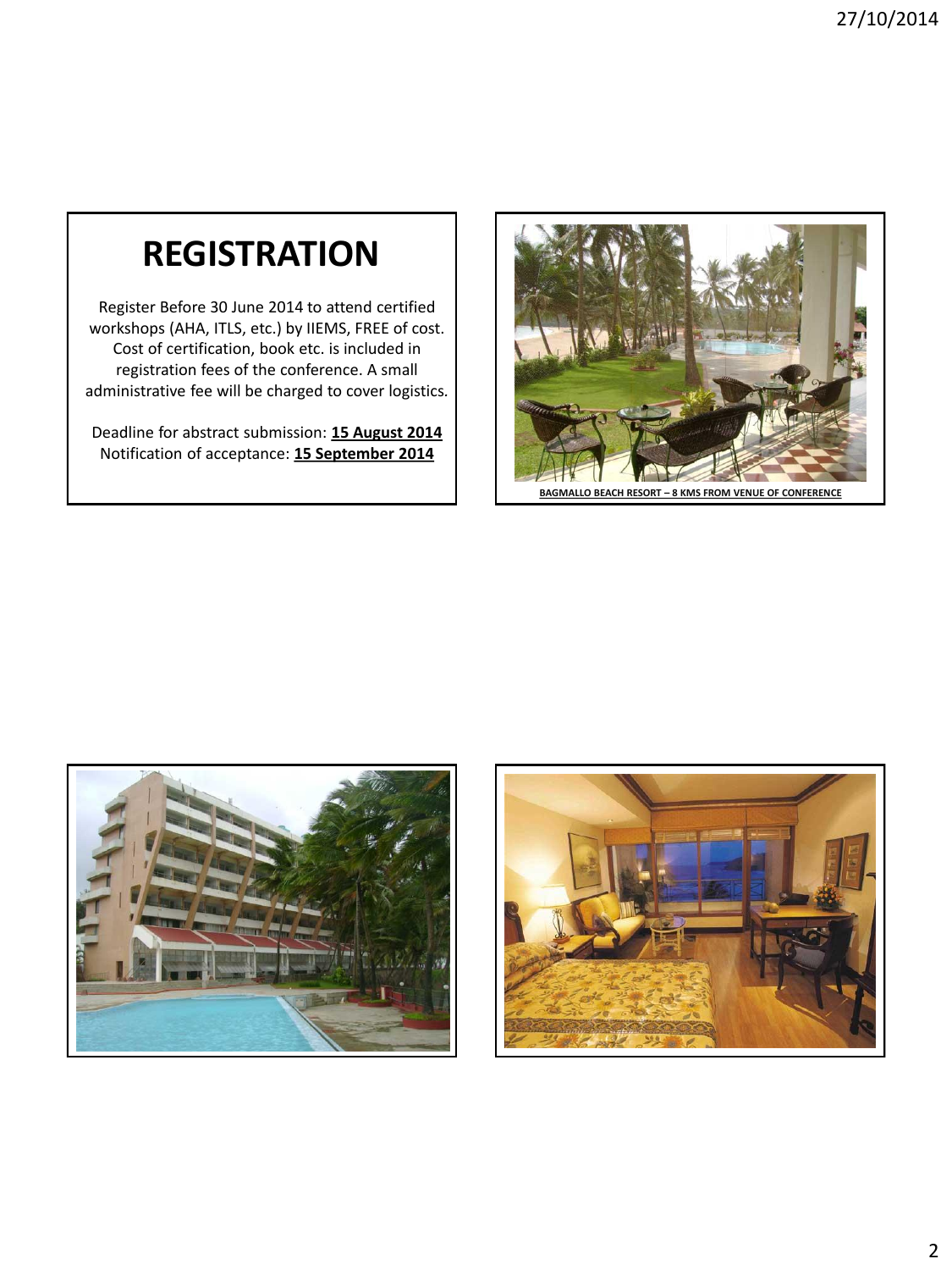## **REGISTRATION**

Register Before 30 June 2014 to attend certified workshops (AHA, ITLS, etc.) by IIEMS, FREE of cost. Cost of certification, book etc. is included in registration fees of the conference. A small administrative fee will be charged to cover logistics*.*

Deadline for abstract submission: **15 August 2014** Notification of acceptance: **15 September 2014**



**BAGMALLO BEACH RESORT – 8 KMS FROM VENUE OF CONFERENCE**